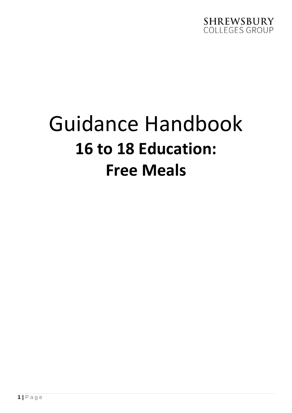

# Guidance Handbook **16 to 18 Education: Free Meals**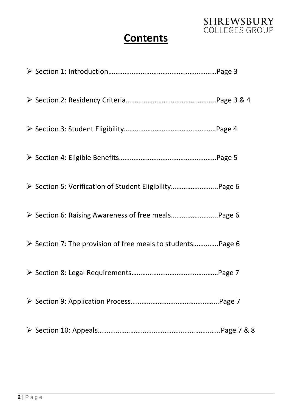## SHREWSBURY<br>COLLEGES GROUP

### **Contents**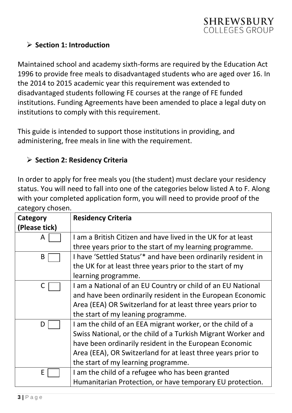#### **Section 1: Introduction**

Maintained school and academy sixth-forms are required by the Education Act 1996 to provide free meals to disadvantaged students who are aged over 16. In the 2014 to 2015 academic year this requirement was extended to disadvantaged students following FE courses at the range of FE funded institutions. Funding Agreements have been amended to place a legal duty on institutions to comply with this requirement.

This guide is intended to support those institutions in providing, and administering, free meals in line with the requirement.

#### **Section 2: Residency Criteria**

In order to apply for free meals you (the student) must declare your residency status. You will need to fall into one of the categories below listed A to F. Along with your completed application form, you will need to provide proof of the category chosen.

| Category      | <b>Residency Criteria</b>                                     |  |
|---------------|---------------------------------------------------------------|--|
| (Please tick) |                                                               |  |
| A             | I am a British Citizen and have lived in the UK for at least  |  |
|               | three years prior to the start of my learning programme.      |  |
| B             | I have 'Settled Status'* and have been ordinarily resident in |  |
|               | the UK for at least three years prior to the start of my      |  |
|               | learning programme.                                           |  |
|               | I am a National of an EU Country or child of an EU National   |  |
|               | and have been ordinarily resident in the European Economic    |  |
|               | Area (EEA) OR Switzerland for at least three years prior to   |  |
|               | the start of my leaning programme.                            |  |
| D             | I am the child of an EEA migrant worker, or the child of a    |  |
|               | Swiss National, or the child of a Turkish Migrant Worker and  |  |
|               | have been ordinarily resident in the European Economic        |  |
|               | Area (EEA), OR Switzerland for at least three years prior to  |  |
|               | the start of my learning programme.                           |  |
| E             | I am the child of a refugee who has been granted              |  |
|               | Humanitarian Protection, or have temporary EU protection.     |  |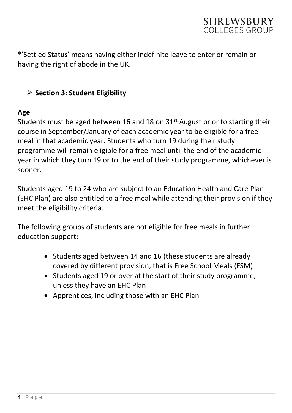

\*'Settled Status' means having either indefinite leave to enter or remain or having the right of abode in the UK.

#### **Section 3: Student Eligibility**

#### **Age**

Students must be aged between 16 and 18 on  $31<sup>st</sup>$  August prior to starting their course in September/January of each academic year to be eligible for a free meal in that academic year. Students who turn 19 during their study programme will remain eligible for a free meal until the end of the academic year in which they turn 19 or to the end of their study programme, whichever is sooner.

Students aged 19 to 24 who are subject to an Education Health and Care Plan (EHC Plan) are also entitled to a free meal while attending their provision if they meet the eligibility criteria.

The following groups of students are not eligible for free meals in further education support:

- Students aged between 14 and 16 (these students are already covered by different provision, that is Free School Meals (FSM)
- Students aged 19 or over at the start of their study programme, unless they have an EHC Plan
- Apprentices, including those with an EHC Plan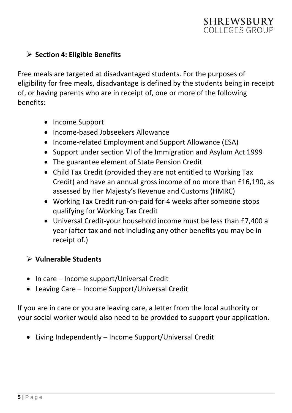#### **SHREWSBURY** COLLEGES GROUP

#### **Section 4: Eligible Benefits**

Free meals are targeted at disadvantaged students. For the purposes of eligibility for free meals, disadvantage is defined by the students being in receipt of, or having parents who are in receipt of, one or more of the following benefits:

- Income Support
- Income-based Jobseekers Allowance
- Income-related Employment and Support Allowance (ESA)
- Support under section VI of the Immigration and Asylum Act 1999
- The guarantee element of State Pension Credit
- Child Tax Credit (provided they are not entitled to Working Tax Credit) and have an annual gross income of no more than £16,190, as assessed by Her Majesty's Revenue and Customs (HMRC)
- Working Tax Credit run-on-paid for 4 weeks after someone stops qualifying for Working Tax Credit
- Universal Credit-your household income must be less than £7,400 a year (after tax and not including any other benefits you may be in receipt of.)

#### **Vulnerable Students**

- In care Income support/Universal Credit
- Leaving Care Income Support/Universal Credit

If you are in care or you are leaving care, a letter from the local authority or your social worker would also need to be provided to support your application.

Living Independently – Income Support/Universal Credit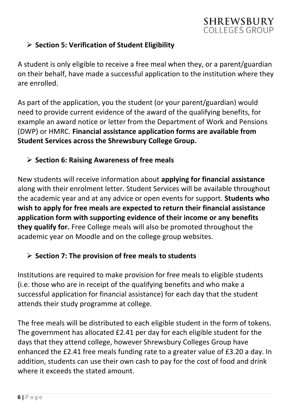#### **SHREWSBURY** COLLEGES GROUP

#### **Section 5: Verification of Student Eligibility**

A student is only eligible to receive a free meal when they, or a parent/guardian on their behalf, have made a successful application to the institution where they are enrolled.

As part of the application, you the student (or your parent/guardian) would need to provide current evidence of the award of the qualifying benefits, for example an award notice or letter from the Department of Work and Pensions (DWP) or HMRC. **Financial assistance application forms are available from Student Services across the Shrewsbury College Group.**

#### **Section 6: Raising Awareness of free meals**

New students will receive information about **applying for financial assistance** along with their enrolment letter. Student Services will be available throughout the academic year and at any advice or open events for support. **Students who wish to apply for free meals are expected to return their financial assistance application form with supporting evidence of their income or any benefits they qualify for.** Free College meals will also be promoted throughout the academic year on Moodle and on the college group websites.

#### **Section 7: The provision of free meals to students**

Institutions are required to make provision for free meals to eligible students (i.e. those who are in receipt of the qualifying benefits and who make a successful application for financial assistance) for each day that the student attends their study programme at college.

The free meals will be distributed to each eligible student in the form of tokens. The government has allocated £2.41 per day for each eligible student for the days that they attend college, however Shrewsbury Colleges Group have enhanced the £2.41 free meals funding rate to a greater value of £3.20 a day. In addition, students can use their own cash to pay for the cost of food and drink where it exceeds the stated amount.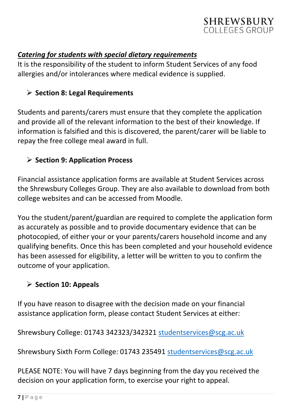

#### *Catering for students with special dietary requirements*

It is the responsibility of the student to inform Student Services of any food allergies and/or intolerances where medical evidence is supplied.

#### **Section 8: Legal Requirements**

Students and parents/carers must ensure that they complete the application and provide all of the relevant information to the best of their knowledge. If information is falsified and this is discovered, the parent/carer will be liable to repay the free college meal award in full.

#### **Section 9: Application Process**

Financial assistance application forms are available at Student Services across the Shrewsbury Colleges Group. They are also available to download from both college websites and can be accessed from Moodle.

You the student/parent/guardian are required to complete the application form as accurately as possible and to provide documentary evidence that can be photocopied, of either your or your parents/carers household income and any qualifying benefits. Once this has been completed and your household evidence has been assessed for eligibility, a letter will be written to you to confirm the outcome of your application.

#### **Section 10: Appeals**

If you have reason to disagree with the decision made on your financial assistance application form, please contact Student Services at either:

Shrewsbury College: 01743 342323/342321 [studentservices@scg.ac.uk](mailto:studentservices@scg.ac.uk)

Shrewsbury Sixth Form College: 01743 235491 [studentservices@scg.ac.uk](mailto:studentservices@scg.ac.uk)

PLEASE NOTE: You will have 7 days beginning from the day you received the decision on your application form, to exercise your right to appeal.